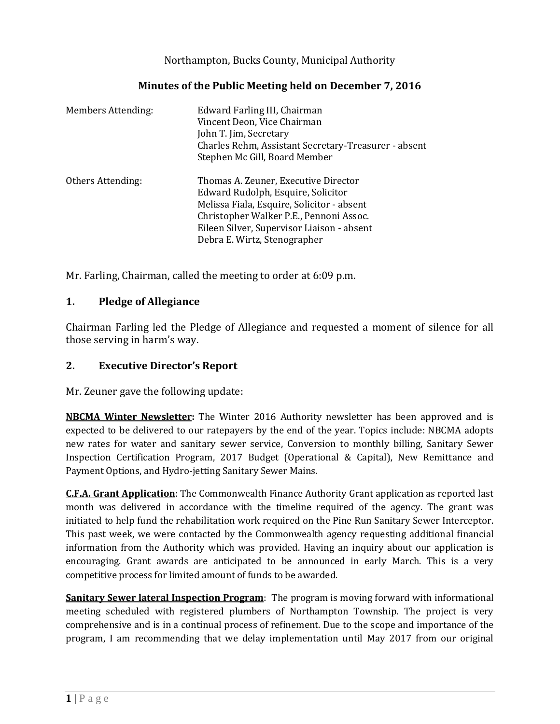Northampton, Bucks County, Municipal Authority

| Minutes of the Public Meeting held on December 7, 2016 |  |
|--------------------------------------------------------|--|
|--------------------------------------------------------|--|

| Members Attending: | Edward Farling III, Chairman<br>Vincent Deon, Vice Chairman<br>John T. Jim, Secretary<br>Charles Rehm, Assistant Secretary-Treasurer - absent<br>Stephen Mc Gill, Board Member                                                                    |
|--------------------|---------------------------------------------------------------------------------------------------------------------------------------------------------------------------------------------------------------------------------------------------|
| Others Attending:  | Thomas A. Zeuner, Executive Director<br>Edward Rudolph, Esquire, Solicitor<br>Melissa Fiala, Esquire, Solicitor - absent<br>Christopher Walker P.E., Pennoni Assoc.<br>Eileen Silver, Supervisor Liaison - absent<br>Debra E. Wirtz, Stenographer |

Mr. Farling, Chairman, called the meeting to order at 6:09 p.m.

### **1. Pledge of Allegiance**

Chairman Farling led the Pledge of Allegiance and requested a moment of silence for all those serving in harm's way.

### **2. Executive Director's Report**

Mr. Zeuner gave the following update:

**NBCMA Winter Newsletter:** The Winter 2016 Authority newsletter has been approved and is expected to be delivered to our ratepayers by the end of the year. Topics include: NBCMA adopts new rates for water and sanitary sewer service, Conversion to monthly billing, Sanitary Sewer Inspection Certification Program, 2017 Budget (Operational & Capital), New Remittance and Payment Options, and Hydro-jetting Sanitary Sewer Mains.

**C.F.A. Grant Application**: The Commonwealth Finance Authority Grant application as reported last month was delivered in accordance with the timeline required of the agency. The grant was initiated to help fund the rehabilitation work required on the Pine Run Sanitary Sewer Interceptor. This past week, we were contacted by the Commonwealth agency requesting additional financial information from the Authority which was provided. Having an inquiry about our application is encouraging. Grant awards are anticipated to be announced in early March. This is a very competitive process for limited amount of funds to be awarded.

**Sanitary Sewer lateral Inspection Program**: The program is moving forward with informational meeting scheduled with registered plumbers of Northampton Township. The project is very comprehensive and is in a continual process of refinement. Due to the scope and importance of the program, I am recommending that we delay implementation until May 2017 from our original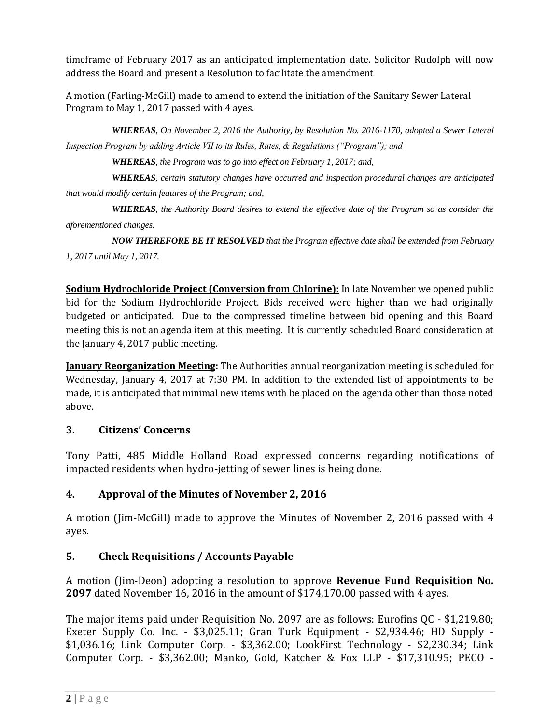timeframe of February 2017 as an anticipated implementation date. Solicitor Rudolph will now address the Board and present a Resolution to facilitate the amendment

A motion (Farling-McGill) made to amend to extend the initiation of the Sanitary Sewer Lateral Program to May 1, 2017 passed with 4 ayes.

*WHEREAS, On November 2, 2016 the Authority, by Resolution No. 2016-1170, adopted a Sewer Lateral Inspection Program by adding Article VII to its Rules, Rates, & Regulations ("Program"); and*

*WHEREAS, the Program was to go into effect on February 1, 2017; and,*

*WHEREAS, certain statutory changes have occurred and inspection procedural changes are anticipated that would modify certain features of the Program; and,*

*WHEREAS, the Authority Board desires to extend the effective date of the Program so as consider the aforementioned changes.*

*NOW THEREFORE BE IT RESOLVED that the Program effective date shall be extended from February 1, 2017 until May 1, 2017.*

**Sodium Hydrochloride Project (Conversion from Chlorine):** In late November we opened public bid for the Sodium Hydrochloride Project. Bids received were higher than we had originally budgeted or anticipated. Due to the compressed timeline between bid opening and this Board meeting this is not an agenda item at this meeting. It is currently scheduled Board consideration at the January 4, 2017 public meeting.

**January Reorganization Meeting:** The Authorities annual reorganization meeting is scheduled for Wednesday, January 4, 2017 at 7:30 PM. In addition to the extended list of appointments to be made, it is anticipated that minimal new items with be placed on the agenda other than those noted above.

## **3. Citizens' Concerns**

Tony Patti, 485 Middle Holland Road expressed concerns regarding notifications of impacted residents when hydro-jetting of sewer lines is being done.

# **4. Approval of the Minutes of November 2, 2016**

A motion (Jim-McGill) made to approve the Minutes of November 2, 2016 passed with 4 ayes.

# **5. Check Requisitions / Accounts Payable**

A motion (Jim-Deon) adopting a resolution to approve **Revenue Fund Requisition No. 2097** dated November 16, 2016 in the amount of \$174,170.00 passed with 4 ayes.

The major items paid under Requisition No. 2097 are as follows: Eurofins QC - \$1,219.80; Exeter Supply Co. Inc. - \$3,025.11; Gran Turk Equipment - \$2,934.46; HD Supply - \$1,036.16; Link Computer Corp. - \$3,362.00; LookFirst Technology - \$2,230.34; Link Computer Corp. - \$3,362.00; Manko, Gold, Katcher & Fox LLP - \$17,310.95; PECO -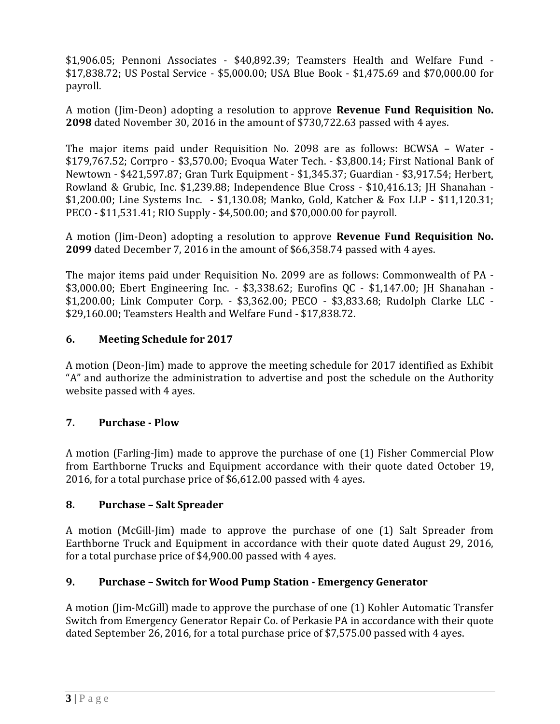\$1,906.05; Pennoni Associates - \$40,892.39; Teamsters Health and Welfare Fund - \$17,838.72; US Postal Service - \$5,000.00; USA Blue Book - \$1,475.69 and \$70,000.00 for payroll.

A motion (Jim-Deon) adopting a resolution to approve **Revenue Fund Requisition No. 2098** dated November 30, 2016 in the amount of \$730,722.63 passed with 4 ayes.

The major items paid under Requisition No. 2098 are as follows: BCWSA – Water - \$179,767.52; Corrpro - \$3,570.00; Evoqua Water Tech. - \$3,800.14; First National Bank of Newtown - \$421,597.87; Gran Turk Equipment - \$1,345.37; Guardian - \$3,917.54; Herbert, Rowland & Grubic, Inc. \$1,239.88; Independence Blue Cross - \$10,416.13; JH Shanahan - \$1,200.00; Line Systems Inc. - \$1,130.08; Manko, Gold, Katcher & Fox LLP - \$11,120.31; PECO - \$11,531.41; RIO Supply - \$4,500.00; and \$70,000.00 for payroll.

A motion (Jim-Deon) adopting a resolution to approve **Revenue Fund Requisition No. 2099** dated December 7, 2016 in the amount of \$66,358.74 passed with 4 ayes.

The major items paid under Requisition No. 2099 are as follows: Commonwealth of PA - \$3,000.00; Ebert Engineering Inc. - \$3,338.62; Eurofins QC - \$1,147.00; JH Shanahan - \$1,200.00; Link Computer Corp. - \$3,362.00; PECO - \$3,833.68; Rudolph Clarke LLC - \$29,160.00; Teamsters Health and Welfare Fund - \$17,838.72.

## **6. Meeting Schedule for 2017**

A motion (Deon-Jim) made to approve the meeting schedule for 2017 identified as Exhibit "A" and authorize the administration to advertise and post the schedule on the Authority website passed with 4 ayes.

## **7. Purchase - Plow**

A motion (Farling-Jim) made to approve the purchase of one (1) Fisher Commercial Plow from Earthborne Trucks and Equipment accordance with their quote dated October 19, 2016, for a total purchase price of \$6,612.00 passed with 4 ayes.

#### **8. Purchase – Salt Spreader**

A motion (McGill-Jim) made to approve the purchase of one (1) Salt Spreader from Earthborne Truck and Equipment in accordance with their quote dated August 29, 2016, for a total purchase price of \$4,900.00 passed with 4 ayes.

## **9. Purchase – Switch for Wood Pump Station - Emergency Generator**

A motion (Jim-McGill) made to approve the purchase of one (1) Kohler Automatic Transfer Switch from Emergency Generator Repair Co. of Perkasie PA in accordance with their quote dated September 26, 2016, for a total purchase price of \$7,575.00 passed with 4 ayes.